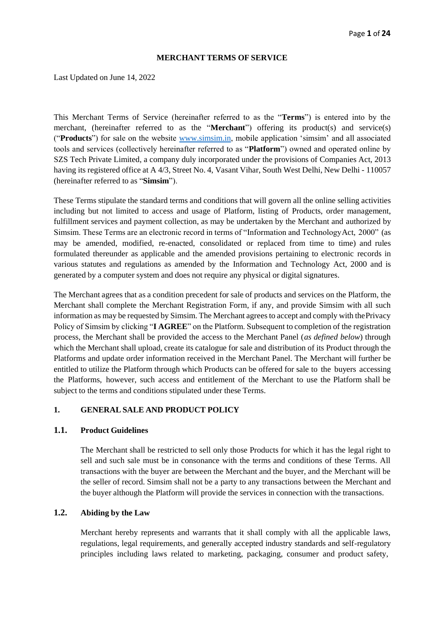#### **MERCHANT TERMS OF SERVICE**

Last Updated on June 14, 2022

This Merchant Terms of Service (hereinafter referred to as the "**Terms**") is entered into by the merchant, (hereinafter referred to as the "**Merchant**") offering its product(s) and service(s) ("**Products**") for sale on the website [www.simsim.in,](http://www.simsim.in/) mobile application 'simsim' and all associated tools and services (collectively hereinafter referred to as "**Platform**") owned and operated online by SZS Tech Private Limited, a company duly incorporated under the provisions of Companies Act, 2013 having its registered office at A 4/3, Street No. 4, Vasant Vihar, South West Delhi, New Delhi - 110057 (hereinafter referred to as "**Simsim**").

These Terms stipulate the standard terms and conditions that will govern all the online selling activities including but not limited to access and usage of Platform, listing of Products, order management, fulfillment services and payment collection, as may be undertaken by the Merchant and authorized by Simsim. These Terms are an electronic record in terms of "Information and TechnologyAct, 2000" (as may be amended, modified, re-enacted, consolidated or replaced from time to time) and rules formulated thereunder as applicable and the amended provisions pertaining to electronic records in various statutes and regulations as amended by the Information and Technology Act, 2000 and is generated by a computer system and does not require any physical or digital signatures.

The Merchant agrees that as a condition precedent for sale of products and services on the Platform, the Merchant shall complete the Merchant Registration Form, if any, and provide Simsim with all such information as may be requested by Simsim. The Merchant agrees to accept and comply with thePrivacy Policy of Simsim by clicking "**I AGREE**" on the Platform. Subsequent to completion of the registration process, the Merchant shall be provided the access to the Merchant Panel (*as defined below*) through which the Merchant shall upload, create its catalogue for sale and distribution of its Product through the Platforms and update order information received in the Merchant Panel. The Merchant will further be entitled to utilize the Platform through which Products can be offered for sale to the buyers accessing the Platforms, however, such access and entitlement of the Merchant to use the Platform shall be subject to the terms and conditions stipulated under these Terms.

# **1. GENERAL SALE AND PRODUCT POLICY**

#### **1.1. Product Guidelines**

The Merchant shall be restricted to sell only those Products for which it has the legal right to sell and such sale must be in consonance with the terms and conditions of these Terms. All transactions with the buyer are between the Merchant and the buyer, and the Merchant will be the seller of record. Simsim shall not be a party to any transactions between the Merchant and the buyer although the Platform will provide the services in connection with the transactions.

## **1.2. Abiding by the Law**

Merchant hereby represents and warrants that it shall comply with all the applicable laws, regulations, legal requirements, and generally accepted industry standards and self-regulatory principles including laws related to marketing, packaging, consumer and product safety,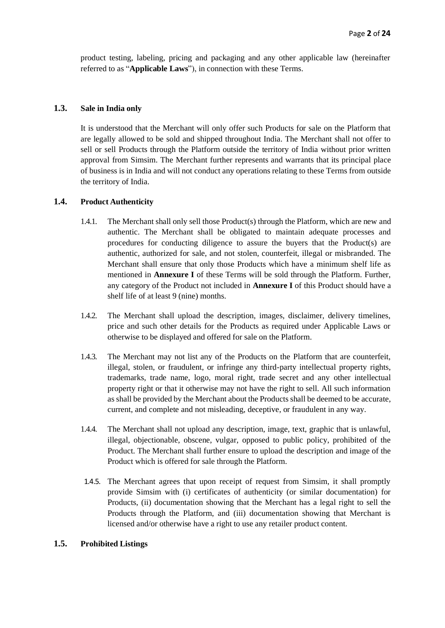product testing, labeling, pricing and packaging and any other applicable law (hereinafter referred to as "**Applicable Laws**"), in connection with these Terms.

## **1.3. Sale in India only**

It is understood that the Merchant will only offer such Products for sale on the Platform that are legally allowed to be sold and shipped throughout India. The Merchant shall not offer to sell or sell Products through the Platform outside the territory of India without prior written approval from Simsim. The Merchant further represents and warrants that its principal place of business is in India and will not conduct any operations relating to these Terms from outside the territory of India.

## **1.4. Product Authenticity**

- 1.4.1. The Merchant shall only sell those Product(s) through the Platform, which are new and authentic. The Merchant shall be obligated to maintain adequate processes and procedures for conducting diligence to assure the buyers that the Product(s) are authentic, authorized for sale, and not stolen, counterfeit, illegal or misbranded. The Merchant shall ensure that only those Products which have a minimum shelf life as mentioned in **Annexure I** of these Terms will be sold through the Platform. Further, any category of the Product not included in **Annexure I** of this Product should have a shelf life of at least 9 (nine) months.
- 1.4.2. The Merchant shall upload the description, images, disclaimer, delivery timelines, price and such other details for the Products as required under Applicable Laws or otherwise to be displayed and offered for sale on the Platform.
- 1.4.3. The Merchant may not list any of the Products on the Platform that are counterfeit, illegal, stolen, or fraudulent, or infringe any third-party intellectual property rights, trademarks, trade name, logo, moral right, trade secret and any other intellectual property right or that it otherwise may not have the right to sell. All such information as shall be provided by the Merchant about the Products shall be deemed to be accurate, current, and complete and not misleading, deceptive, or fraudulent in any way.
- 1.4.4. The Merchant shall not upload any description, image, text, graphic that is unlawful, illegal, objectionable, obscene, vulgar, opposed to public policy, prohibited of the Product. The Merchant shall further ensure to upload the description and image of the Product which is offered for sale through the Platform.
- 1.4.5. The Merchant agrees that upon receipt of request from Simsim, it shall promptly provide Simsim with (i) certificates of authenticity (or similar documentation) for Products, (ii) documentation showing that the Merchant has a legal right to sell the Products through the Platform, and (iii) documentation showing that Merchant is licensed and/or otherwise have a right to use any retailer product content.

# **1.5. Prohibited Listings**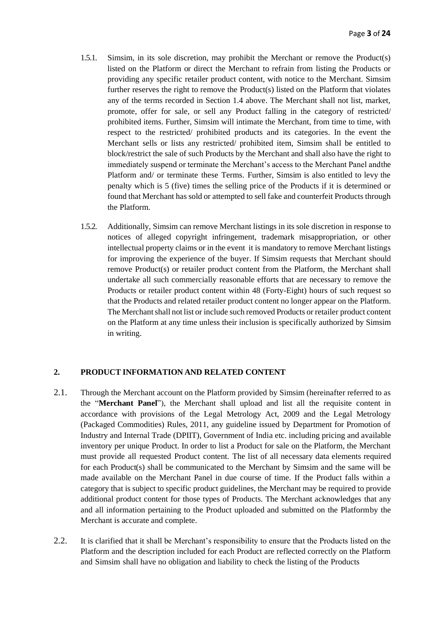- 1.5.1. Simsim, in its sole discretion, may prohibit the Merchant or remove the Product(s) listed on the Platform or direct the Merchant to refrain from listing the Products or providing any specific retailer product content, with notice to the Merchant. Simsim further reserves the right to remove the Product(s) listed on the Platform that violates any of the terms recorded in Section 1.4 above. The Merchant shall not list, market, promote, offer for sale, or sell any Product falling in the category of restricted/ prohibited items. Further, Simsim will intimate the Merchant, from time to time, with respect to the restricted/ prohibited products and its categories. In the event the Merchant sells or lists any restricted/ prohibited item, Simsim shall be entitled to block/restrict the sale of such Products by the Merchant and shall also have the right to immediately suspend or terminate the Merchant's access to the Merchant Panel andthe Platform and/ or terminate these Terms. Further, Simsim is also entitled to levy the penalty which is 5 (five) times the selling price of the Products if it is determined or found that Merchant has sold or attempted to sell fake and counterfeit Products through the Platform.
- 1.5.2. Additionally, Simsim can remove Merchant listings in its sole discretion in response to notices of alleged copyright infringement, trademark misappropriation, or other intellectual property claims or in the event it is mandatory to remove Merchant listings for improving the experience of the buyer. If Simsim requests that Merchant should remove Product(s) or retailer product content from the Platform, the Merchant shall undertake all such commercially reasonable efforts that are necessary to remove the Products or retailer product content within 48 (Forty-Eight) hours of such request so that the Products and related retailer product content no longer appear on the Platform. The Merchant shall not list or include such removed Products or retailer product content on the Platform at any time unless their inclusion is specifically authorized by Simsim in writing.

## **2. PRODUCT INFORMATION AND RELATED CONTENT**

- 2.1. Through the Merchant account on the Platform provided by Simsim (hereinafter referred to as the "**Merchant Panel**"), the Merchant shall upload and list all the requisite content in accordance with provisions of the Legal Metrology Act, 2009 and the Legal Metrology (Packaged Commodities) Rules, 2011, any guideline issued by Department for Promotion of Industry and Internal Trade (DPIIT), Government of India etc. including pricing and available inventory per unique Product. In order to list a Product for sale on the Platform, the Merchant must provide all requested Product content. The list of all necessary data elements required for each Product(s) shall be communicated to the Merchant by Simsim and the same will be made available on the Merchant Panel in due course of time. If the Product falls within a category that is subject to specific product guidelines, the Merchant may be required to provide additional product content for those types of Products. The Merchant acknowledges that any and all information pertaining to the Product uploaded and submitted on the Platformby the Merchant is accurate and complete.
- 2.2. It is clarified that it shall be Merchant's responsibility to ensure that the Products listed on the Platform and the description included for each Product are reflected correctly on the Platform and Simsim shall have no obligation and liability to check the listing of the Products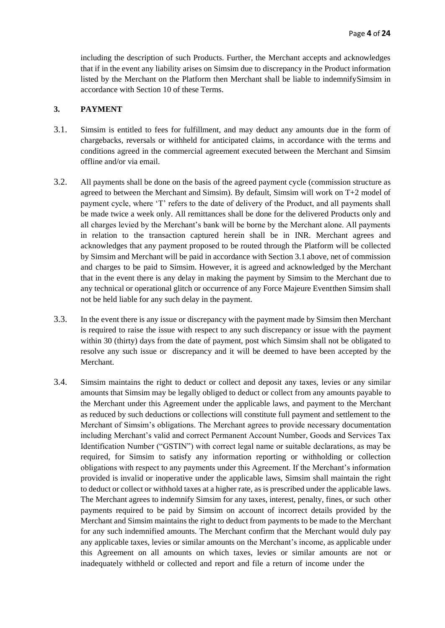including the description of such Products. Further, the Merchant accepts and acknowledges that if in the event any liability arises on Simsim due to discrepancy in the Product information listed by the Merchant on the Platform then Merchant shall be liable to indemnifySimsim in accordance with Section 10 of these Terms.

## **3. PAYMENT**

- 3.1. Simsim is entitled to fees for fulfillment, and may deduct any amounts due in the form of chargebacks, reversals or withheld for anticipated claims, in accordance with the terms and conditions agreed in the commercial agreement executed between the Merchant and Simsim offline and/or via email.
- 3.2. All payments shall be done on the basis of the agreed payment cycle (commission structure as agreed to between the Merchant and Simsim). By default, Simsim will work on T+2 model of payment cycle, where 'T' refers to the date of delivery of the Product, and all payments shall be made twice a week only. All remittances shall be done for the delivered Products only and all charges levied by the Merchant's bank will be borne by the Merchant alone. All payments in relation to the transaction captured herein shall be in INR. Merchant agrees and acknowledges that any payment proposed to be routed through the Platform will be collected by Simsim and Merchant will be paid in accordance with Section 3.1 above, net of commission and charges to be paid to Simsim. However, it is agreed and acknowledged by the Merchant that in the event there is any delay in making the payment by Simsim to the Merchant due to any technical or operational glitch or occurrence of any Force Majeure Eventthen Simsim shall not be held liable for any such delay in the payment.
- 3.3. In the event there is any issue or discrepancy with the payment made by Simsim then Merchant is required to raise the issue with respect to any such discrepancy or issue with the payment within 30 (thirty) days from the date of payment, post which Simsim shall not be obligated to resolve any such issue or discrepancy and it will be deemed to have been accepted by the Merchant.
- 3.4. Simsim maintains the right to deduct or collect and deposit any taxes, levies or any similar amounts that Simsim may be legally obliged to deduct or collect from any amounts payable to the Merchant under this Agreement under the applicable laws, and payment to the Merchant as reduced by such deductions or collections will constitute full payment and settlement to the Merchant of Simsim's obligations. The Merchant agrees to provide necessary documentation including Merchant's valid and correct Permanent Account Number, Goods and Services Tax Identification Number ("GSTIN") with correct legal name or suitable declarations, as may be required, for Simsim to satisfy any information reporting or withholding or collection obligations with respect to any payments under this Agreement. If the Merchant's information provided is invalid or inoperative under the applicable laws, Simsim shall maintain the right to deduct or collect or withhold taxes at a higher rate, as is prescribed under the applicable laws. The Merchant agrees to indemnify Simsim for any taxes, interest, penalty, fines, or such other payments required to be paid by Simsim on account of incorrect details provided by the Merchant and Simsim maintains the right to deduct from payments to be made to the Merchant for any such indemnified amounts. The Merchant confirm that the Merchant would duly pay any applicable taxes, levies or similar amounts on the Merchant's income, as applicable under this Agreement on all amounts on which taxes, levies or similar amounts are not or inadequately withheld or collected and report and file a return of income under the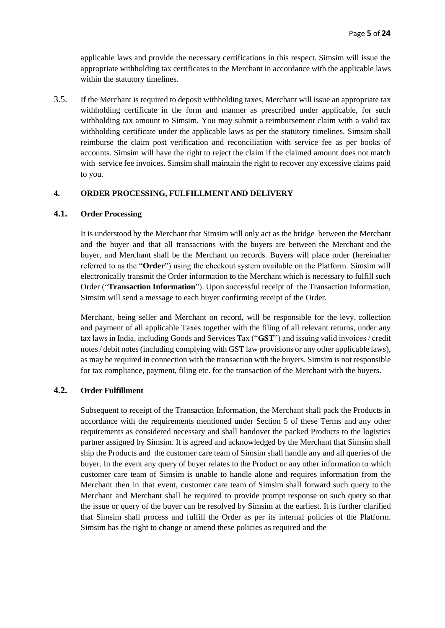applicable laws and provide the necessary certifications in this respect. Simsim will issue the appropriate withholding tax certificates to the Merchant in accordance with the applicable laws within the statutory timelines.

3.5. If the Merchant is required to deposit withholding taxes, Merchant will issue an appropriate tax withholding certificate in the form and manner as prescribed under applicable, for such withholding tax amount to Simsim. You may submit a reimbursement claim with a valid tax withholding certificate under the applicable laws as per the statutory timelines. Simsim shall reimburse the claim post verification and reconciliation with service fee as per books of accounts. Simsim will have the right to reject the claim if the claimed amount does not match with service fee invoices. Simsim shall maintain the right to recover any excessive claims paid to you.

# **4. ORDER PROCESSING, FULFILLMENT AND DELIVERY**

## **4.1. Order Processing**

It is understood by the Merchant that Simsim will only act as the bridge between the Merchant and the buyer and that all transactions with the buyers are between the Merchant and the buyer, and Merchant shall be the Merchant on records. Buyers will place order (hereinafter referred to as the "**Order**") using the checkout system available on the Platform. Simsim will electronically transmit the Order information to the Merchant which is necessary to fulfill such Order ("**Transaction Information**"). Upon successful receipt of the Transaction Information, Simsim will send a message to each buyer confirming receipt of the Order.

Merchant, being seller and Merchant on record, will be responsible for the levy, collection and payment of all applicable Taxes together with the filing of all relevant returns, under any tax laws in India, including Goods and Services Tax ("**GST**") and issuing valid invoices / credit notes/ debit notes(including complying with GST law provisions or any other applicable laws), as may be required in connection with the transaction with the buyers. Simsim is not responsible for tax compliance, payment, filing etc. for the transaction of the Merchant with the buyers.

# **4.2. Order Fulfillment**

Subsequent to receipt of the Transaction Information, the Merchant shall pack the Products in accordance with the requirements mentioned under Section 5 of these Terms and any other requirements as considered necessary and shall handover the packed Products to the logistics partner assigned by Simsim. It is agreed and acknowledged by the Merchant that Simsim shall ship the Products and the customer care team of Simsim shall handle any and all queries of the buyer. In the event any query of buyer relates to the Product or any other information to which customer care team of Simsim is unable to handle alone and requires information from the Merchant then in that event, customer care team of Simsim shall forward such query to the Merchant and Merchant shall be required to provide prompt response on such query so that the issue or query of the buyer can be resolved by Simsim at the earliest. It is further clarified that Simsim shall process and fulfill the Order as per its internal policies of the Platform. Simsim has the right to change or amend these policies as required and the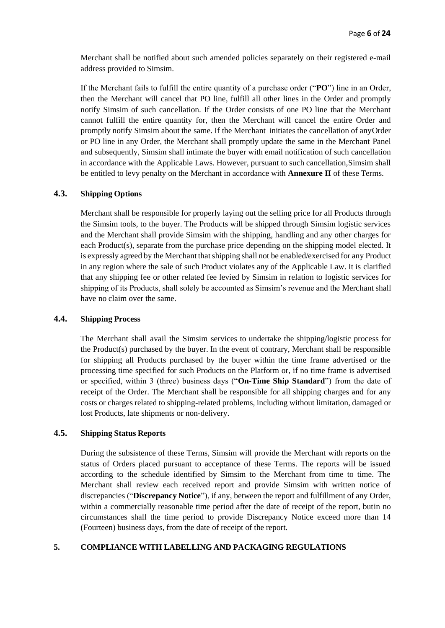Merchant shall be notified about such amended policies separately on their registered e-mail address provided to Simsim.

If the Merchant fails to fulfill the entire quantity of a purchase order ("**PO**") line in an Order, then the Merchant will cancel that PO line, fulfill all other lines in the Order and promptly notify Simsim of such cancellation. If the Order consists of one PO line that the Merchant cannot fulfill the entire quantity for, then the Merchant will cancel the entire Order and promptly notify Simsim about the same. If the Merchant initiates the cancellation of anyOrder or PO line in any Order, the Merchant shall promptly update the same in the Merchant Panel and subsequently, Simsim shall intimate the buyer with email notification of such cancellation in accordance with the Applicable Laws. However, pursuant to such cancellation,Simsim shall be entitled to levy penalty on the Merchant in accordance with **Annexure II** of these Terms.

# **4.3. Shipping Options**

Merchant shall be responsible for properly laying out the selling price for all Products through the Simsim tools, to the buyer. The Products will be shipped through Simsim logistic services and the Merchant shall provide Simsim with the shipping, handling and any other charges for each Product(s), separate from the purchase price depending on the shipping model elected. It is expressly agreed by the Merchant that shipping shall not be enabled/exercised for any Product in any region where the sale of such Product violates any of the Applicable Law. It is clarified that any shipping fee or other related fee levied by Simsim in relation to logistic services for shipping of its Products, shall solely be accounted as Simsim's revenue and the Merchant shall have no claim over the same.

#### **4.4. Shipping Process**

The Merchant shall avail the Simsim services to undertake the shipping/logistic process for the Product(s) purchased by the buyer. In the event of contrary, Merchant shall be responsible for shipping all Products purchased by the buyer within the time frame advertised or the processing time specified for such Products on the Platform or, if no time frame is advertised or specified, within 3 (three) business days ("**On-Time Ship Standard**") from the date of receipt of the Order. The Merchant shall be responsible for all shipping charges and for any costs or charges related to shipping-related problems, including without limitation, damaged or lost Products, late shipments or non-delivery.

## **4.5. Shipping Status Reports**

During the subsistence of these Terms, Simsim will provide the Merchant with reports on the status of Orders placed pursuant to acceptance of these Terms. The reports will be issued according to the schedule identified by Simsim to the Merchant from time to time. The Merchant shall review each received report and provide Simsim with written notice of discrepancies ("**Discrepancy Notice**"), if any, between the report and fulfillment of any Order, within a commercially reasonable time period after the date of receipt of the report, butin no circumstances shall the time period to provide Discrepancy Notice exceed more than 14 (Fourteen) business days, from the date of receipt of the report.

## **5. COMPLIANCE WITH LABELLING AND PACKAGING REGULATIONS**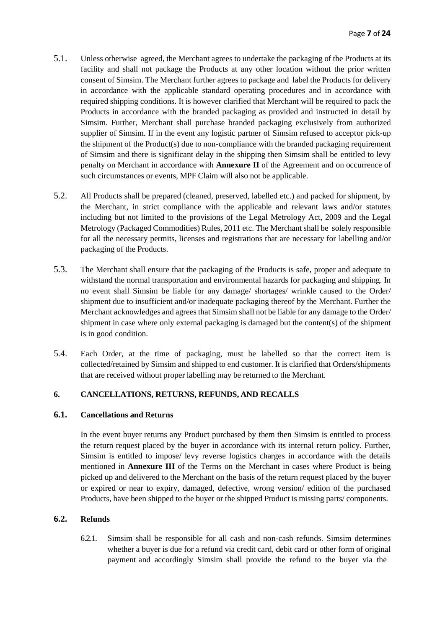- 5.1. Unless otherwise agreed, the Merchant agrees to undertake the packaging of the Products at its facility and shall not package the Products at any other location without the prior written consent of Simsim. The Merchant further agrees to package and label the Products for delivery in accordance with the applicable standard operating procedures and in accordance with required shipping conditions. It is however clarified that Merchant will be required to pack the Products in accordance with the branded packaging as provided and instructed in detail by Simsim. Further, Merchant shall purchase branded packaging exclusively from authorized supplier of Simsim. If in the event any logistic partner of Simsim refused to acceptor pick-up the shipment of the Product(s) due to non-compliance with the branded packaging requirement of Simsim and there is significant delay in the shipping then Simsim shall be entitled to levy penalty on Merchant in accordance with **Annexure II** of the Agreement and on occurrence of such circumstances or events, MPF Claim will also not be applicable.
- 5.2. All Products shall be prepared (cleaned, preserved, labelled etc.) and packed for shipment, by the Merchant, in strict compliance with the applicable and relevant laws and/or statutes including but not limited to the provisions of the Legal Metrology Act, 2009 and the Legal Metrology (Packaged Commodities) Rules, 2011 etc. The Merchant shall be solely responsible for all the necessary permits, licenses and registrations that are necessary for labelling and/or packaging of the Products.
- 5.3. The Merchant shall ensure that the packaging of the Products is safe, proper and adequate to withstand the normal transportation and environmental hazards for packaging and shipping. In no event shall Simsim be liable for any damage/ shortages/ wrinkle caused to the Order/ shipment due to insufficient and/or inadequate packaging thereof by the Merchant. Further the Merchant acknowledges and agrees that Simsim shall not be liable for any damage to the Order/ shipment in case where only external packaging is damaged but the content(s) of the shipment is in good condition.
- 5.4. Each Order, at the time of packaging, must be labelled so that the correct item is collected/retained by Simsim and shipped to end customer. It is clarified that Orders/shipments that are received without proper labelling may be returned to the Merchant.

## **6. CANCELLATIONS, RETURNS, REFUNDS, AND RECALLS**

## **6.1. Cancellations and Returns**

In the event buyer returns any Product purchased by them then Simsim is entitled to process the return request placed by the buyer in accordance with its internal return policy. Further, Simsim is entitled to impose/ levy reverse logistics charges in accordance with the details mentioned in **Annexure III** of the Terms on the Merchant in cases where Product is being picked up and delivered to the Merchant on the basis of the return request placed by the buyer or expired or near to expiry, damaged, defective, wrong version/ edition of the purchased Products, have been shipped to the buyer or the shipped Product is missing parts/ components.

## **6.2. Refunds**

6.2.1. Simsim shall be responsible for all cash and non-cash refunds. Simsim determines whether a buyer is due for a refund via credit card, debit card or other form of original payment and accordingly Simsim shall provide the refund to the buyer via the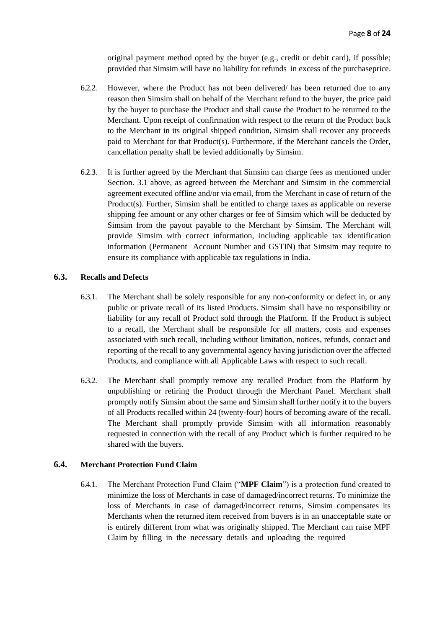original payment method opted by the buyer (e.g., credit or debit card), if possible; provided that Simsim will have no liability for refunds in excess of the purchaseprice.

- 6.2.2. However, where the Product has not been delivered/ has been returned due to any reason then Simsim shall on behalf of the Merchant refund to the buyer, the price paid by the buyer to purchase the Product and shall cause the Product to be returned to the Merchant. Upon receipt of confirmation with respect to the return of the Product back to the Merchant in its original shipped condition, Simsim shall recover any proceeds paid to Merchant for that Product(s). Furthermore, if the Merchant cancels the Order, cancellation penalty shall be levied additionally by Simsim.
- 6.2.3. It is further agreed by the Merchant that Simsim can charge fees as mentioned under Section. 3.1 above, as agreed between the Merchant and Simsim in the commercial agreement executed offline and/or via email, from the Merchant in case of return of the Product(s). Further, Simsim shall be entitled to charge taxes as applicable on reverse shipping fee amount or any other charges or fee of Simsim which will be deducted by Simsim from the payout payable to the Merchant by Simsim. The Merchant will provide Simsim with correct information, including applicable tax identification information (Permanent Account Number and GSTIN) that Simsim may require to ensure its compliance with applicable tax regulations in India.

## **6.3. Recalls and Defects**

- 6.3.1. The Merchant shall be solely responsible for any non-conformity or defect in, or any public or private recall of its listed Products. Simsim shall have no responsibility or liability for any recall of Product sold through the Platform. If the Product is subject to a recall, the Merchant shall be responsible for all matters, costs and expenses associated with such recall, including without limitation, notices, refunds, contact and reporting of the recall to any governmental agency having jurisdiction over the affected Products, and compliance with all Applicable Laws with respect to such recall.
- 6.3.2. The Merchant shall promptly remove any recalled Product from the Platform by unpublishing or retiring the Product through the Merchant Panel. Merchant shall promptly notify Simsim about the same and Simsim shall further notify it to the buyers of all Products recalled within 24 (twenty-four) hours of becoming aware of the recall. The Merchant shall promptly provide Simsim with all information reasonably requested in connection with the recall of any Product which is further required to be shared with the buyers.

#### **6.4. Merchant Protection Fund Claim**

6.4.1. The Merchant Protection Fund Claim ("**MPF Claim**") is a protection fund created to minimize the loss of Merchants in case of damaged/incorrect returns. To minimize the loss of Merchants in case of damaged/incorrect returns, Simsim compensates its Merchants when the returned item received from buyers is in an unacceptable state or is entirely different from what was originally shipped. The Merchant can raise MPF Claim by filling in the necessary details and uploading the required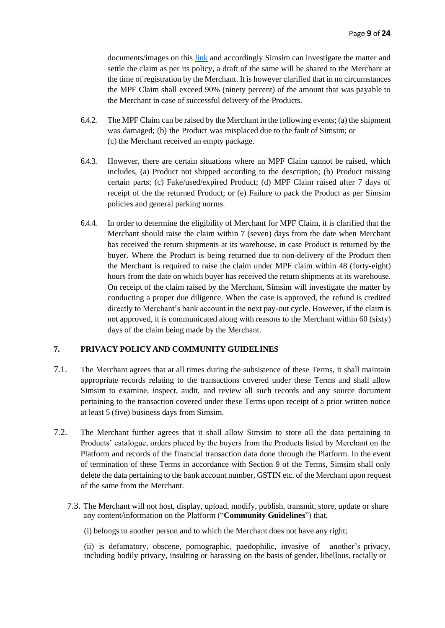documents/images on this [link](https://docs.google.com/forms/d/e/1FAIpQLSekd3cNeAmcoQeKWaVPPzb_A1gEQ-Xtgl7DjuOKCphmjJcRTA/viewform) and accordingly Simsim can investigate the matter and settle the claim as per its policy, a draft of the same will be shared to the Merchant at the time of registration by the Merchant. It is however clarified that in no circumstances the MPF Claim shall exceed 90% (ninety percent) of the amount that was payable to the Merchant in case of successful delivery of the Products.

- 6.4.2. The MPF Claim can be raised by the Merchant in the following events; (a) the shipment was damaged; (b) the Product was misplaced due to the fault of Simsim; or (c) the Merchant received an empty package.
- 6.4.3. However, there are certain situations where an MPF Claim cannot be raised, which includes, (a) Product not shipped according to the description; (b) Product missing certain parts; (c) Fake/used/expired Product; (d) MPF Claim raised after 7 days of receipt of the the returned Product; or (e) Failure to pack the Product as per Simsim policies and general parking norms.
- 6.4.4. In order to determine the eligibility of Merchant for MPF Claim, it is clarified that the Merchant should raise the claim within 7 (seven) days from the date when Merchant has received the return shipments at its warehouse, in case Product is returned by the buyer. Where the Product is being returned due to non-delivery of the Product then the Merchant is required to raise the claim under MPF claim within 48 (forty-eight) hours from the date on which buyer has received the return shipments at its warehouse. On receipt of the claim raised by the Merchant, Simsim will investigate the matter by conducting a proper due diligence. When the case is approved, the refund is credited directly to Merchant's bank account in the next pay-out cycle. However, if the claim is not approved, it is communicated along with reasons to the Merchant within 60 (sixty) days of the claim being made by the Merchant.

# **7. PRIVACY POLICYAND COMMUNITY GUIDELINES**

- 7.1. The Merchant agrees that at all times during the subsistence of these Terms, it shall maintain appropriate records relating to the transactions covered under these Terms and shall allow Simsim to examine, inspect, audit, and review all such records and any source document pertaining to the transaction covered under these Terms upon receipt of a prior written notice at least 5 (five) business days from Simsim.
- 7.2. The Merchant further agrees that it shall allow Simsim to store all the data pertaining to Products' catalogue, orders placed by the buyers from the Products listed by Merchant on the Platform and records of the financial transaction data done through the Platform. In the event of termination of these Terms in accordance with Section 9 of the Terms, Simsim shall only delete the data pertaining to the bank account number, GSTIN etc. of the Merchant upon request of the same from the Merchant.
	- 7.3. The Merchant will not host, display, upload, modify, publish, transmit, store, update or share any content/information on the Platform ("**Community Guidelines**") that,

(i) belongs to another person and to which the Merchant does not have any right;

(ii) is defamatory, obscene, pornographic, paedophilic, invasive of another's privacy, including bodily privacy, insulting or harassing on the basis of gender, libellous, racially or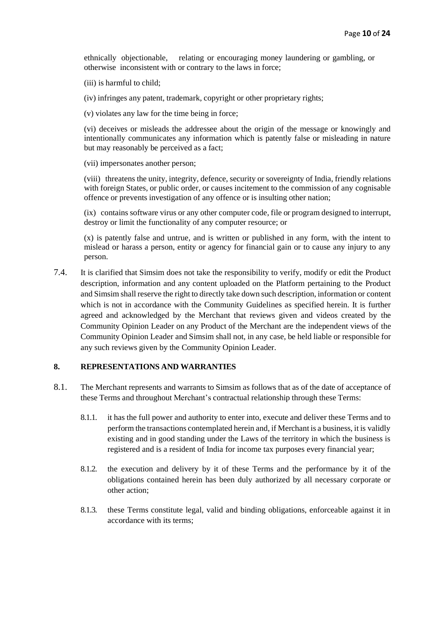ethnically objectionable, relating or encouraging money laundering or gambling, or otherwise inconsistent with or contrary to the laws in force;

(iii) is harmful to child;

(iv) infringes any patent, trademark, copyright or other proprietary rights;

(v) violates any law for the time being in force;

(vi) deceives or misleads the addressee about the origin of the message or knowingly and intentionally communicates any information which is patently false or misleading in nature but may reasonably be perceived as a fact;

(vii) impersonates another person;

(viii) threatens the unity, integrity, defence, security or sovereignty of India, friendly relations with foreign States, or public order, or causes incitement to the commission of any cognisable offence or prevents investigation of any offence or is insulting other nation;

(ix) contains software virus or any other computer code, file or program designed to interrupt, destroy or limit the functionality of any computer resource; or

(x) is patently false and untrue, and is written or published in any form, with the intent to mislead or harass a person, entity or agency for financial gain or to cause any injury to any person.

7.4. It is clarified that Simsim does not take the responsibility to verify, modify or edit the Product description, information and any content uploaded on the Platform pertaining to the Product and Simsim shall reserve the right to directly take down such description, information or content which is not in accordance with the Community Guidelines as specified herein. It is further agreed and acknowledged by the Merchant that reviews given and videos created by the Community Opinion Leader on any Product of the Merchant are the independent views of the Community Opinion Leader and Simsim shall not, in any case, be held liable or responsible for any such reviews given by the Community Opinion Leader.

## **8. REPRESENTATIONS AND WARRANTIES**

- 8.1. The Merchant represents and warrants to Simsim as follows that as of the date of acceptance of these Terms and throughout Merchant's contractual relationship through these Terms:
	- 8.1.1. it has the full power and authority to enter into, execute and deliver these Terms and to perform the transactions contemplated herein and, if Merchant is a business, it is validly existing and in good standing under the Laws of the territory in which the business is registered and is a resident of India for income tax purposes every financial year;
	- 8.1.2. the execution and delivery by it of these Terms and the performance by it of the obligations contained herein has been duly authorized by all necessary corporate or other action;
	- 8.1.3. these Terms constitute legal, valid and binding obligations, enforceable against it in accordance with its terms;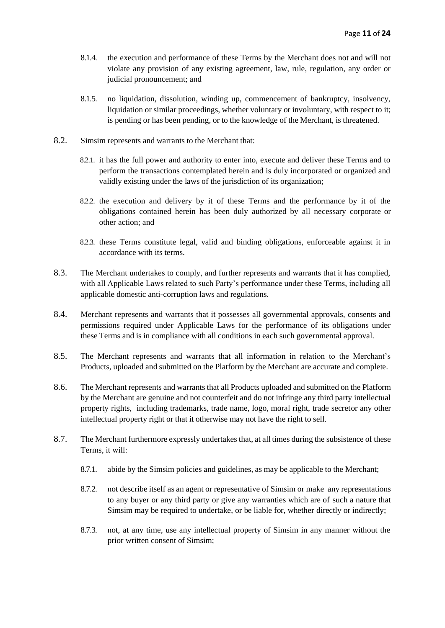- 8.1.4. the execution and performance of these Terms by the Merchant does not and will not violate any provision of any existing agreement, law, rule, regulation, any order or judicial pronouncement; and
- 8.1.5. no liquidation, dissolution, winding up, commencement of bankruptcy, insolvency, liquidation or similar proceedings, whether voluntary or involuntary, with respect to it; is pending or has been pending, or to the knowledge of the Merchant, is threatened.
- 8.2. Simsim represents and warrants to the Merchant that:
	- 8.2.1. it has the full power and authority to enter into, execute and deliver these Terms and to perform the transactions contemplated herein and is duly incorporated or organized and validly existing under the laws of the jurisdiction of its organization;
	- 8.2.2. the execution and delivery by it of these Terms and the performance by it of the obligations contained herein has been duly authorized by all necessary corporate or other action; and
	- 8.2.3. these Terms constitute legal, valid and binding obligations, enforceable against it in accordance with its terms.
- 8.3. The Merchant undertakes to comply, and further represents and warrants that it has complied, with all Applicable Laws related to such Party's performance under these Terms, including all applicable domestic anti-corruption laws and regulations.
- 8.4. Merchant represents and warrants that it possesses all governmental approvals, consents and permissions required under Applicable Laws for the performance of its obligations under these Terms and is in compliance with all conditions in each such governmental approval.
- 8.5. The Merchant represents and warrants that all information in relation to the Merchant's Products, uploaded and submitted on the Platform by the Merchant are accurate and complete.
- 8.6. The Merchant represents and warrants that all Products uploaded and submitted on the Platform by the Merchant are genuine and not counterfeit and do not infringe any third party intellectual property rights, including trademarks, trade name, logo, moral right, trade secretor any other intellectual property right or that it otherwise may not have the right to sell.
- 8.7. The Merchant furthermore expressly undertakes that, at all times during the subsistence of these Terms, it will:
	- 8.7.1. abide by the Simsim policies and guidelines, as may be applicable to the Merchant;
	- 8.7.2. not describe itself as an agent or representative of Simsim or make any representations to any buyer or any third party or give any warranties which are of such a nature that Simsim may be required to undertake, or be liable for, whether directly or indirectly;
	- 8.7.3. not, at any time, use any intellectual property of Simsim in any manner without the prior written consent of Simsim;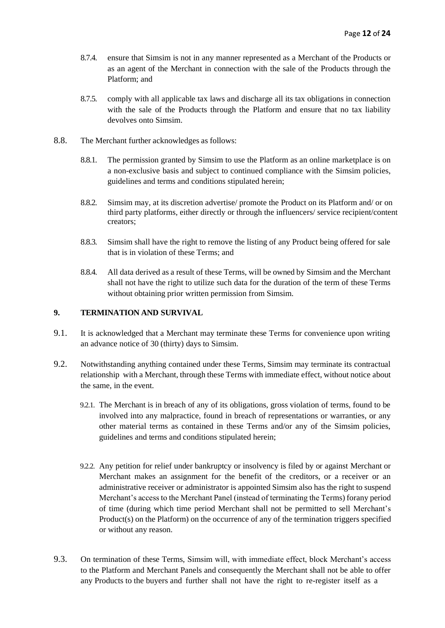- 8.7.4. ensure that Simsim is not in any manner represented as a Merchant of the Products or as an agent of the Merchant in connection with the sale of the Products through the Platform; and
- 8.7.5. comply with all applicable tax laws and discharge all its tax obligations in connection with the sale of the Products through the Platform and ensure that no tax liability devolves onto Simsim.
- 8.8. The Merchant further acknowledges as follows:
	- 8.8.1. The permission granted by Simsim to use the Platform as an online marketplace is on a non-exclusive basis and subject to continued compliance with the Simsim policies, guidelines and terms and conditions stipulated herein;
	- 8.8.2. Simsim may, at its discretion advertise/ promote the Product on its Platform and/ or on third party platforms, either directly or through the influencers/ service recipient/content creators;
	- 8.8.3. Simsim shall have the right to remove the listing of any Product being offered for sale that is in violation of these Terms; and
	- 8.8.4. All data derived as a result of these Terms, will be owned by Simsim and the Merchant shall not have the right to utilize such data for the duration of the term of these Terms without obtaining prior written permission from Simsim.

## **9. TERMINATION AND SURVIVAL**

- 9.1. It is acknowledged that a Merchant may terminate these Terms for convenience upon writing an advance notice of 30 (thirty) days to Simsim.
- 9.2. Notwithstanding anything contained under these Terms, Simsim may terminate its contractual relationship with a Merchant, through these Terms with immediate effect, without notice about the same, in the event.
	- 9.2.1. The Merchant is in breach of any of its obligations, gross violation of terms, found to be involved into any malpractice, found in breach of representations or warranties, or any other material terms as contained in these Terms and/or any of the Simsim policies, guidelines and terms and conditions stipulated herein;
	- 9.2.2. Any petition for relief under bankruptcy or insolvency is filed by or against Merchant or Merchant makes an assignment for the benefit of the creditors, or a receiver or an administrative receiver or administrator is appointed Simsim also has the right to suspend Merchant's access to the Merchant Panel (instead of terminating the Terms) forany period of time (during which time period Merchant shall not be permitted to sell Merchant's Product(s) on the Platform) on the occurrence of any of the termination triggers specified or without any reason.
- 9.3. On termination of these Terms, Simsim will, with immediate effect, block Merchant's access to the Platform and Merchant Panels and consequently the Merchant shall not be able to offer any Products to the buyers and further shall not have the right to re-register itself as a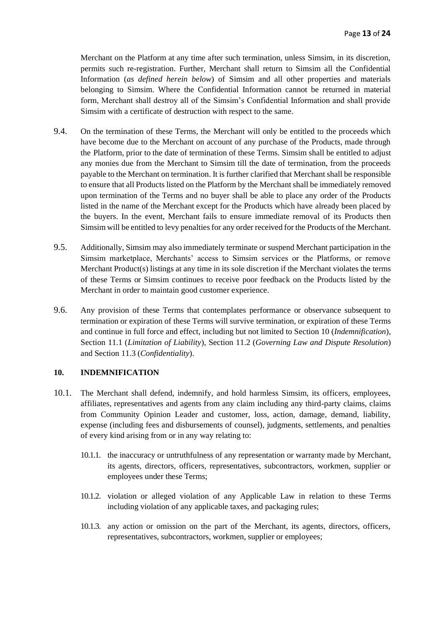Merchant on the Platform at any time after such termination, unless Simsim, in its discretion, permits such re-registration. Further, Merchant shall return to Simsim all the Confidential Information (*as defined herein below*) of Simsim and all other properties and materials belonging to Simsim. Where the Confidential Information cannot be returned in material form, Merchant shall destroy all of the Simsim's Confidential Information and shall provide Simsim with a certificate of destruction with respect to the same.

- 9.4. On the termination of these Terms, the Merchant will only be entitled to the proceeds which have become due to the Merchant on account of any purchase of the Products, made through the Platform, prior to the date of termination of these Terms. Simsim shall be entitled to adjust any monies due from the Merchant to Simsim till the date of termination, from the proceeds payable to the Merchant on termination. It is further clarified that Merchant shall be responsible to ensure that all Products listed on the Platform by the Merchant shall be immediately removed upon termination of the Terms and no buyer shall be able to place any order of the Products listed in the name of the Merchant except for the Products which have already been placed by the buyers. In the event, Merchant fails to ensure immediate removal of its Products then Simsim will be entitled to levy penalties for any order received for the Products of the Merchant.
- 9.5. Additionally, Simsim may also immediately terminate or suspend Merchant participation in the Simsim marketplace, Merchants' access to Simsim services or the Platforms, or remove Merchant Product(s) listings at any time in its sole discretion if the Merchant violates the terms of these Terms or Simsim continues to receive poor feedback on the Products listed by the Merchant in order to maintain good customer experience.
- 9.6. Any provision of these Terms that contemplates performance or observance subsequent to termination or expiration of these Terms will survive termination, or expiration of these Terms and continue in full force and effect, including but not limited to Section 10 (*Indemnification*), Section 11.1 (*Limitation of Liability*), Section 11.2 (*Governing Law and Dispute Resolution*) and Section 11.3 (*Confidentiality*).

## **10. INDEMNIFICATION**

- 10.1. The Merchant shall defend, indemnify, and hold harmless Simsim, its officers, employees, affiliates, representatives and agents from any claim including any third-party claims, claims from Community Opinion Leader and customer, loss, action, damage, demand, liability, expense (including fees and disbursements of counsel), judgments, settlements, and penalties of every kind arising from or in any way relating to:
	- 10.1.1. the inaccuracy or untruthfulness of any representation or warranty made by Merchant, its agents, directors, officers, representatives, subcontractors, workmen, supplier or employees under these Terms;
	- 10.1.2. violation or alleged violation of any Applicable Law in relation to these Terms including violation of any applicable taxes, and packaging rules;
	- 10.1.3. any action or omission on the part of the Merchant, its agents, directors, officers, representatives, subcontractors, workmen, supplier or employees;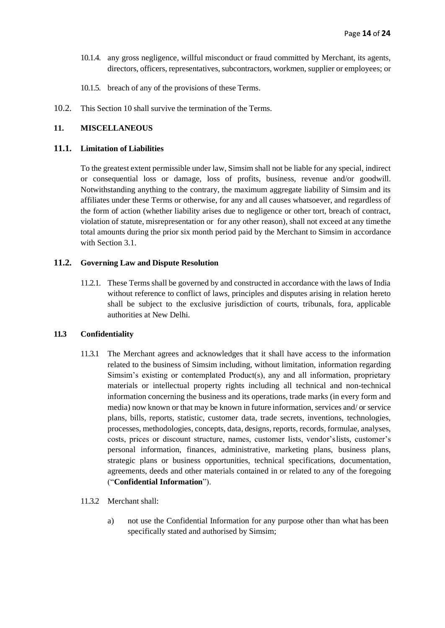- 10.1.4. any gross negligence, willful misconduct or fraud committed by Merchant, its agents, directors, officers, representatives, subcontractors, workmen, supplier or employees; or
- 10.1.5. breach of any of the provisions of these Terms.
- 10.2. This Section 10 shall survive the termination of the Terms.

## **11. MISCELLANEOUS**

## **11.1. Limitation of Liabilities**

To the greatest extent permissible under law, Simsim shall not be liable for any special, indirect or consequential loss or damage, loss of profits, business, revenue and/or goodwill. Notwithstanding anything to the contrary, the maximum aggregate liability of Simsim and its affiliates under these Terms or otherwise, for any and all causes whatsoever, and regardless of the form of action (whether liability arises due to negligence or other tort, breach of contract, violation of statute, misrepresentation or for any other reason), shall not exceed at any timethe total amounts during the prior six month period paid by the Merchant to Simsim in accordance with Section 3.1.

## **11.2. Governing Law and Dispute Resolution**

11.2.1. These Terms shall be governed by and constructed in accordance with the laws of India without reference to conflict of laws, principles and disputes arising in relation hereto shall be subject to the exclusive jurisdiction of courts, tribunals, fora, applicable authorities at New Delhi.

## **11.3 Confidentiality**

- 11.3.1 The Merchant agrees and acknowledges that it shall have access to the information related to the business of Simsim including, without limitation, information regarding Simsim's existing or contemplated Product(s), any and all information, proprietary materials or intellectual property rights including all technical and non-technical information concerning the business and its operations, trade marks (in every form and media) now known or that may be known in future information, services and/ or service plans, bills, reports, statistic, customer data, trade secrets, inventions, technologies, processes, methodologies, concepts, data, designs, reports, records, formulae, analyses, costs, prices or discount structure, names, customer lists, vendor'slists, customer's personal information, finances, administrative, marketing plans, business plans, strategic plans or business opportunities, technical specifications, documentation, agreements, deeds and other materials contained in or related to any of the foregoing ("**Confidential Information**").
- 11.3.2 Merchant shall:
	- a) not use the Confidential Information for any purpose other than what has been specifically stated and authorised by Simsim;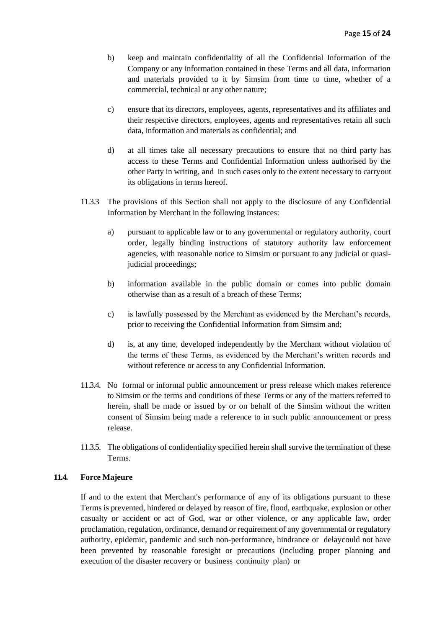- b) keep and maintain confidentiality of all the Confidential Information of the Company or any information contained in these Terms and all data, information and materials provided to it by Simsim from time to time, whether of a commercial, technical or any other nature;
- c) ensure that its directors, employees, agents, representatives and its affiliates and their respective directors, employees, agents and representatives retain all such data, information and materials as confidential; and
- d) at all times take all necessary precautions to ensure that no third party has access to these Terms and Confidential Information unless authorised by the other Party in writing, and in such cases only to the extent necessary to carryout its obligations in terms hereof.
- 11.3.3 The provisions of this Section shall not apply to the disclosure of any Confidential Information by Merchant in the following instances:
	- a) pursuant to applicable law or to any governmental or regulatory authority, court order, legally binding instructions of statutory authority law enforcement agencies, with reasonable notice to Simsim or pursuant to any judicial or quasijudicial proceedings;
	- b) information available in the public domain or comes into public domain otherwise than as a result of a breach of these Terms;
	- c) is lawfully possessed by the Merchant as evidenced by the Merchant's records, prior to receiving the Confidential Information from Simsim and;
	- d) is, at any time, developed independently by the Merchant without violation of the terms of these Terms, as evidenced by the Merchant's written records and without reference or access to any Confidential Information.
- 11.3.4. No formal or informal public announcement or press release which makes reference to Simsim or the terms and conditions of these Terms or any of the matters referred to herein, shall be made or issued by or on behalf of the Simsim without the written consent of Simsim being made a reference to in such public announcement or press release.
- 11.3.5. The obligations of confidentiality specified herein shall survive the termination of these Terms.

## **11.4. Force Majeure**

If and to the extent that Merchant's performance of any of its obligations pursuant to these Terms is prevented, hindered or delayed by reason of fire, flood, earthquake, explosion or other casualty or accident or act of God, war or other violence, or any applicable law, order proclamation, regulation, ordinance, demand or requirement of any governmental or regulatory authority, epidemic, pandemic and such non-performance, hindrance or delaycould not have been prevented by reasonable foresight or precautions (including proper planning and execution of the disaster recovery or business continuity plan) or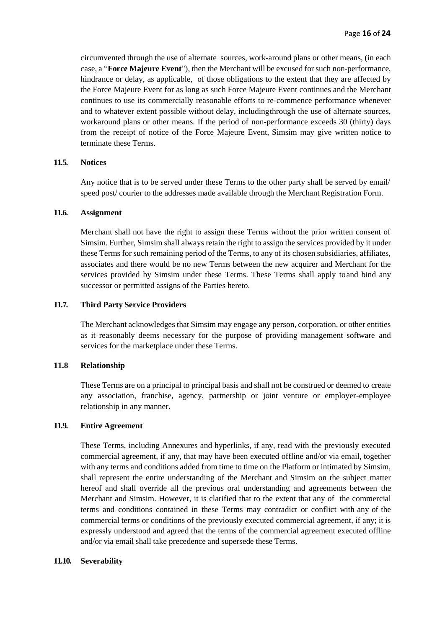circumvented through the use of alternate sources, work-around plans or other means, (in each case, a "**Force Majeure Event**"), then the Merchant will be excused for such non-performance, hindrance or delay, as applicable, of those obligations to the extent that they are affected by the Force Majeure Event for as long as such Force Majeure Event continues and the Merchant continues to use its commercially reasonable efforts to re-commence performance whenever and to whatever extent possible without delay, includingthrough the use of alternate sources, workaround plans or other means. If the period of non-performance exceeds 30 (thirty) days from the receipt of notice of the Force Majeure Event, Simsim may give written notice to terminate these Terms.

## **11.5. Notices**

Any notice that is to be served under these Terms to the other party shall be served by email/ speed post/ courier to the addresses made available through the Merchant Registration Form.

## **11.6. Assignment**

Merchant shall not have the right to assign these Terms without the prior written consent of Simsim. Further, Simsim shall always retain the right to assign the services provided by it under these Terms for such remaining period of the Terms, to any of its chosen subsidiaries, affiliates, associates and there would be no new Terms between the new acquirer and Merchant for the services provided by Simsim under these Terms. These Terms shall apply toand bind any successor or permitted assigns of the Parties hereto.

## **11.7. Third Party Service Providers**

The Merchant acknowledges that Simsim may engage any person, corporation, or other entities as it reasonably deems necessary for the purpose of providing management software and services for the marketplace under these Terms.

## **11.8 Relationship**

These Terms are on a principal to principal basis and shall not be construed or deemed to create any association, franchise, agency, partnership or joint venture or employer-employee relationship in any manner.

## **11.9. Entire Agreement**

These Terms, including Annexures and hyperlinks, if any, read with the previously executed commercial agreement, if any, that may have been executed offline and/or via email, together with any terms and conditions added from time to time on the Platform or intimated by Simsim, shall represent the entire understanding of the Merchant and Simsim on the subject matter hereof and shall override all the previous oral understanding and agreements between the Merchant and Simsim. However, it is clarified that to the extent that any of the commercial terms and conditions contained in these Terms may contradict or conflict with any of the commercial terms or conditions of the previously executed commercial agreement, if any; it is expressly understood and agreed that the terms of the commercial agreement executed offline and/or via email shall take precedence and supersede these Terms.

#### **11.10. Severability**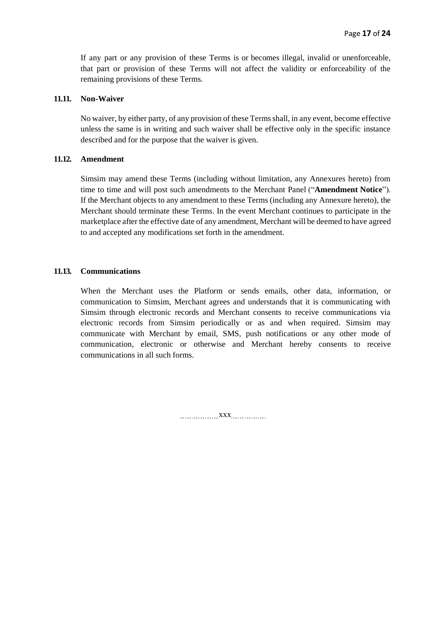If any part or any provision of these Terms is or becomes illegal, invalid or unenforceable, that part or provision of these Terms will not affect the validity or enforceability of the remaining provisions of these Terms.

#### **11.11. Non-Waiver**

No waiver, by either party, of any provision of these Terms shall, in any event, become effective unless the same is in writing and such waiver shall be effective only in the specific instance described and for the purpose that the waiver is given.

#### **11.12. Amendment**

Simsim may amend these Terms (including without limitation, any Annexures hereto) from time to time and will post such amendments to the Merchant Panel ("**Amendment Notice**"). If the Merchant objects to any amendment to these Terms (including any Annexure hereto), the Merchant should terminate these Terms. In the event Merchant continues to participate in the marketplace after the effective date of any amendment, Merchant will be deemed to have agreed to and accepted any modifications set forth in the amendment.

## **11.13. Communications**

When the Merchant uses the Platform or sends emails, other data, information, or communication to Simsim, Merchant agrees and understands that it is communicating with Simsim through electronic records and Merchant consents to receive communications via electronic records from Simsim periodically or as and when required. Simsim may communicate with Merchant by email, SMS, push notifications or any other mode of communication, electronic or otherwise and Merchant hereby consents to receive communications in all such forms.

xxx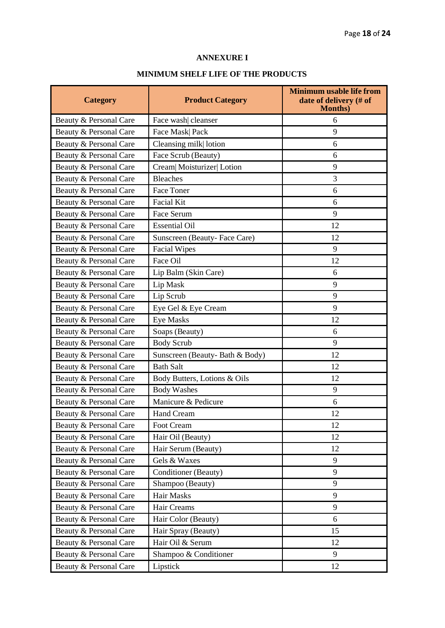# **ANNEXURE I**

# **MINIMUM SHELF LIFE OF THE PRODUCTS**

| <b>Category</b>        | <b>Product Category</b>        | <b>Minimum usable life from</b><br>date of delivery (# of<br><b>Months</b> ) |  |
|------------------------|--------------------------------|------------------------------------------------------------------------------|--|
| Beauty & Personal Care | Face wash cleanser             | 6                                                                            |  |
| Beauty & Personal Care | Face Mask Pack                 | 9                                                                            |  |
| Beauty & Personal Care | Cleansing milk lotion          | 6                                                                            |  |
| Beauty & Personal Care | Face Scrub (Beauty)            | 6                                                                            |  |
| Beauty & Personal Care | Cream  Moisturizer  Lotion     | 9                                                                            |  |
| Beauty & Personal Care | <b>Bleaches</b>                | 3                                                                            |  |
| Beauty & Personal Care | <b>Face Toner</b>              | 6                                                                            |  |
| Beauty & Personal Care | <b>Facial Kit</b>              | 6                                                                            |  |
| Beauty & Personal Care | Face Serum                     | 9                                                                            |  |
| Beauty & Personal Care | <b>Essential Oil</b>           | 12                                                                           |  |
| Beauty & Personal Care | Sunscreen (Beauty-Face Care)   | 12                                                                           |  |
| Beauty & Personal Care | <b>Facial Wipes</b>            | 9                                                                            |  |
| Beauty & Personal Care | Face Oil                       | 12                                                                           |  |
| Beauty & Personal Care | Lip Balm (Skin Care)           | 6                                                                            |  |
| Beauty & Personal Care | Lip Mask                       | 9                                                                            |  |
| Beauty & Personal Care | Lip Scrub                      | 9                                                                            |  |
| Beauty & Personal Care | Eye Gel & Eye Cream            | 9                                                                            |  |
| Beauty & Personal Care | <b>Eye Masks</b>               | 12                                                                           |  |
| Beauty & Personal Care | Soaps (Beauty)                 | 6                                                                            |  |
| Beauty & Personal Care | <b>Body Scrub</b>              | 9                                                                            |  |
| Beauty & Personal Care | Sunscreen (Beauty-Bath & Body) | 12                                                                           |  |
| Beauty & Personal Care | <b>Bath Salt</b>               | 12                                                                           |  |
| Beauty & Personal Care | Body Butters, Lotions & Oils   | 12                                                                           |  |
| Beauty & Personal Care | <b>Body Washes</b>             | 9                                                                            |  |
| Beauty & Personal Care | Manicure & Pedicure            | 6                                                                            |  |
| Beauty & Personal Care | <b>Hand Cream</b>              | 12                                                                           |  |
| Beauty & Personal Care | Foot Cream                     | 12                                                                           |  |
| Beauty & Personal Care | Hair Oil (Beauty)              | 12                                                                           |  |
| Beauty & Personal Care | Hair Serum (Beauty)            | 12                                                                           |  |
| Beauty & Personal Care | Gels & Waxes                   | 9                                                                            |  |
| Beauty & Personal Care | Conditioner (Beauty)<br>9      |                                                                              |  |
| Beauty & Personal Care | Shampoo (Beauty)               | 9                                                                            |  |
| Beauty & Personal Care | Hair Masks<br>9                |                                                                              |  |
| Beauty & Personal Care | Hair Creams<br>9               |                                                                              |  |
| Beauty & Personal Care | Hair Color (Beauty)<br>6       |                                                                              |  |
| Beauty & Personal Care | Hair Spray (Beauty)            | 15                                                                           |  |
| Beauty & Personal Care | Hair Oil & Serum               | 12                                                                           |  |
| Beauty & Personal Care | Shampoo & Conditioner          | 9                                                                            |  |
| Beauty & Personal Care | Lipstick<br>12                 |                                                                              |  |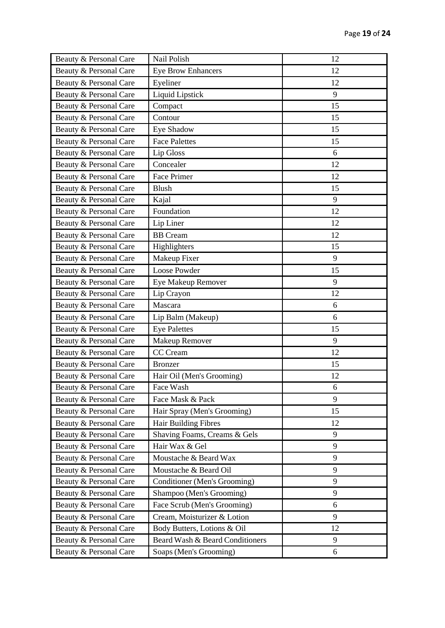| Beauty & Personal Care | Nail Polish                     | 12 |
|------------------------|---------------------------------|----|
| Beauty & Personal Care | <b>Eye Brow Enhancers</b>       | 12 |
| Beauty & Personal Care | Eyeliner                        | 12 |
| Beauty & Personal Care | Liquid Lipstick                 | 9  |
| Beauty & Personal Care | Compact                         | 15 |
| Beauty & Personal Care | Contour                         | 15 |
| Beauty & Personal Care | Eye Shadow                      | 15 |
| Beauty & Personal Care | <b>Face Palettes</b>            | 15 |
| Beauty & Personal Care | Lip Gloss                       | 6  |
| Beauty & Personal Care | Concealer                       | 12 |
| Beauty & Personal Care | Face Primer                     | 12 |
| Beauty & Personal Care | <b>Blush</b>                    | 15 |
| Beauty & Personal Care | Kajal                           | 9  |
| Beauty & Personal Care | Foundation                      | 12 |
| Beauty & Personal Care | Lip Liner                       | 12 |
| Beauty & Personal Care | <b>BB</b> Cream                 | 12 |
| Beauty & Personal Care | Highlighters                    | 15 |
| Beauty & Personal Care | Makeup Fixer                    | 9  |
| Beauty & Personal Care | Loose Powder                    | 15 |
| Beauty & Personal Care | Eye Makeup Remover              | 9  |
| Beauty & Personal Care | Lip Crayon                      | 12 |
| Beauty & Personal Care | Mascara                         | 6  |
| Beauty & Personal Care | Lip Balm (Makeup)               | 6  |
| Beauty & Personal Care | <b>Eye Palettes</b>             | 15 |
| Beauty & Personal Care | <b>Makeup Remover</b>           | 9  |
| Beauty & Personal Care | CC Cream                        | 12 |
| Beauty & Personal Care | <b>Bronzer</b>                  | 15 |
| Beauty & Personal Care | Hair Oil (Men's Grooming)       | 12 |
| Beauty & Personal Care | Face Wash                       | 6  |
| Beauty & Personal Care | Face Mask & Pack                | 9  |
| Beauty & Personal Care | Hair Spray (Men's Grooming)     | 15 |
| Beauty & Personal Care | Hair Building Fibres            | 12 |
| Beauty & Personal Care | Shaving Foams, Creams & Gels    | 9  |
| Beauty & Personal Care | Hair Wax & Gel                  | 9  |
| Beauty & Personal Care | Moustache & Beard Wax           | 9  |
| Beauty & Personal Care | Moustache & Beard Oil           | 9  |
| Beauty & Personal Care | Conditioner (Men's Grooming)    | 9  |
| Beauty & Personal Care | Shampoo (Men's Grooming)        | 9  |
| Beauty & Personal Care | Face Scrub (Men's Grooming)     | 6  |
| Beauty & Personal Care | Cream, Moisturizer & Lotion     | 9  |
| Beauty & Personal Care | Body Butters, Lotions & Oil     | 12 |
| Beauty & Personal Care | Beard Wash & Beard Conditioners | 9  |
| Beauty & Personal Care | Soaps (Men's Grooming)          | 6  |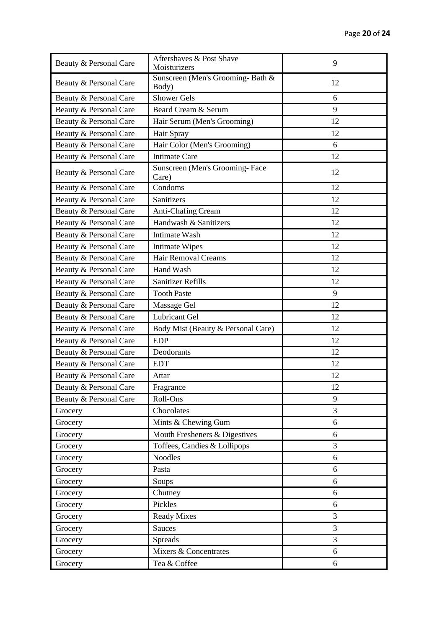| Beauty & Personal Care | Aftershaves & Post Shave<br>Moisturizers  | 9  |  |
|------------------------|-------------------------------------------|----|--|
| Beauty & Personal Care | Sunscreen (Men's Grooming-Bath &<br>Body) | 12 |  |
| Beauty & Personal Care | <b>Shower Gels</b>                        | 6  |  |
| Beauty & Personal Care | Beard Cream & Serum                       | 9  |  |
| Beauty & Personal Care | Hair Serum (Men's Grooming)               | 12 |  |
| Beauty & Personal Care | Hair Spray                                | 12 |  |
| Beauty & Personal Care | Hair Color (Men's Grooming)               | 6  |  |
| Beauty & Personal Care | <b>Intimate Care</b>                      | 12 |  |
| Beauty & Personal Care | Sunscreen (Men's Grooming-Face<br>Care)   | 12 |  |
| Beauty & Personal Care | Condoms                                   | 12 |  |
| Beauty & Personal Care | Sanitizers                                | 12 |  |
| Beauty & Personal Care | Anti-Chafing Cream                        | 12 |  |
| Beauty & Personal Care | Handwash & Sanitizers                     | 12 |  |
| Beauty & Personal Care | Intimate Wash                             | 12 |  |
| Beauty & Personal Care | <b>Intimate Wipes</b>                     | 12 |  |
| Beauty & Personal Care | <b>Hair Removal Creams</b>                | 12 |  |
| Beauty & Personal Care | Hand Wash                                 | 12 |  |
| Beauty & Personal Care | <b>Sanitizer Refills</b>                  | 12 |  |
| Beauty & Personal Care | <b>Tooth Paste</b>                        | 9  |  |
| Beauty & Personal Care | Massage Gel                               | 12 |  |
| Beauty & Personal Care | <b>Lubricant Gel</b>                      | 12 |  |
| Beauty & Personal Care | Body Mist (Beauty & Personal Care)        | 12 |  |
| Beauty & Personal Care | <b>EDP</b>                                | 12 |  |
| Beauty & Personal Care | Deodorants                                | 12 |  |
| Beauty & Personal Care | <b>EDT</b>                                | 12 |  |
| Beauty & Personal Care | Attar                                     | 12 |  |
| Beauty & Personal Care | Fragrance                                 | 12 |  |
| Beauty & Personal Care | Roll-Ons                                  | 9  |  |
| Grocery                | Chocolates                                | 3  |  |
| Grocery                | Mints & Chewing Gum                       | 6  |  |
| Grocery                | Mouth Fresheners & Digestives             | 6  |  |
| Grocery                | Toffees, Candies & Lollipops              | 3  |  |
| Grocery                | <b>Noodles</b>                            | 6  |  |
| Grocery                | Pasta                                     | 6  |  |
| Grocery                | Soups                                     | 6  |  |
| Grocery                | Chutney                                   | 6  |  |
| Grocery                | Pickles                                   | 6  |  |
| Grocery                | <b>Ready Mixes</b>                        | 3  |  |
| Grocery                | Sauces                                    | 3  |  |
| Grocery                | Spreads                                   | 3  |  |
| Grocery                | Mixers & Concentrates                     | 6  |  |
| Grocery                | Tea & Coffee                              | 6  |  |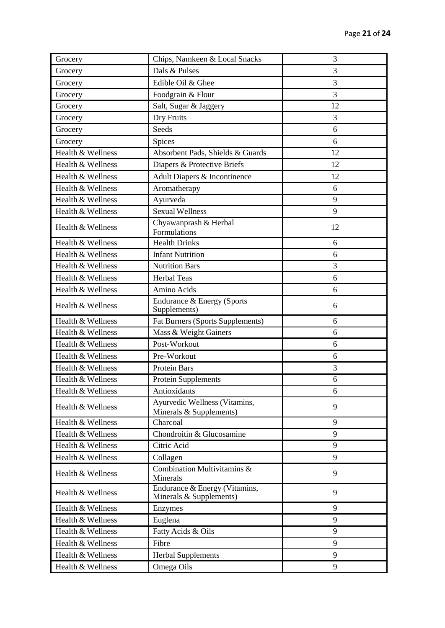| Grocery           | Chips, Namkeen & Local Snacks                            | 3  |
|-------------------|----------------------------------------------------------|----|
| Grocery           | Dals & Pulses                                            | 3  |
| Grocery           | 3<br>Edible Oil & Ghee                                   |    |
| Grocery           | 3<br>Foodgrain & Flour                                   |    |
| Grocery           | Salt, Sugar & Jaggery                                    | 12 |
| Grocery           | Dry Fruits                                               | 3  |
| Grocery           | Seeds                                                    | 6  |
| Grocery           | Spices                                                   | 6  |
| Health & Wellness | Absorbent Pads, Shields & Guards                         | 12 |
| Health & Wellness | Diapers & Protective Briefs                              | 12 |
| Health & Wellness | Adult Diapers & Incontinence                             | 12 |
| Health & Wellness | Aromatherapy                                             | 6  |
| Health & Wellness | Ayurveda                                                 | 9  |
| Health & Wellness | <b>Sexual Wellness</b>                                   | 9  |
| Health & Wellness | Chyawanprash & Herbal<br>Formulations                    | 12 |
| Health & Wellness | <b>Health Drinks</b>                                     | 6  |
| Health & Wellness | <b>Infant Nutrition</b>                                  | 6  |
| Health & Wellness | <b>Nutrition Bars</b>                                    | 3  |
| Health & Wellness | <b>Herbal Teas</b>                                       | 6  |
| Health & Wellness | Amino Acids                                              | 6  |
| Health & Wellness | Endurance & Energy (Sports<br>Supplements)               | 6  |
| Health & Wellness | <b>Fat Burners (Sports Supplements)</b>                  | 6  |
| Health & Wellness | Mass & Weight Gainers                                    | 6  |
| Health & Wellness | Post-Workout                                             | 6  |
| Health & Wellness | Pre-Workout                                              | 6  |
| Health & Wellness | Protein Bars                                             | 3  |
| Health & Wellness | <b>Protein Supplements</b>                               | 6  |
| Health & Wellness | Antioxidants                                             | 6  |
| Health & Wellness | Ayurvedic Wellness (Vitamins,<br>Minerals & Supplements) | 9  |
| Health & Wellness | Charcoal                                                 | 9  |
| Health & Wellness | Chondroitin & Glucosamine                                | 9  |
| Health & Wellness | Citric Acid                                              | 9  |
| Health & Wellness | Collagen                                                 | 9  |
| Health & Wellness | Combination Multivitamins &<br>Minerals                  | 9  |
| Health & Wellness | Endurance & Energy (Vitamins,<br>Minerals & Supplements) | 9  |
| Health & Wellness | Enzymes                                                  | 9  |
| Health & Wellness | Euglena                                                  | 9  |
| Health & Wellness | Fatty Acids & Oils                                       | 9  |
| Health & Wellness | Fibre                                                    | 9  |
| Health & Wellness | <b>Herbal Supplements</b>                                | 9  |
| Health & Wellness | Omega Oils                                               | 9  |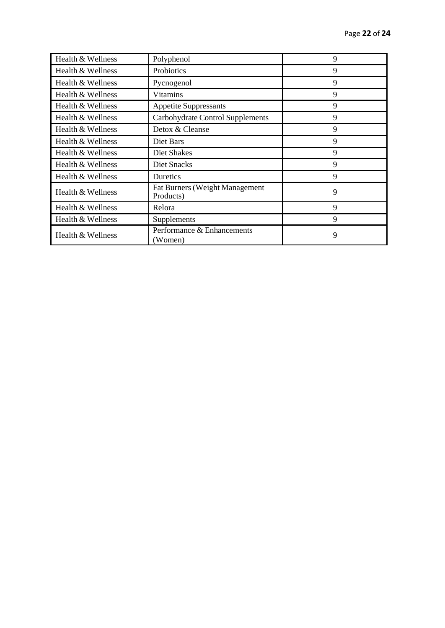| Health & Wellness | Polyphenol                                  | 9 |
|-------------------|---------------------------------------------|---|
| Health & Wellness | Probiotics                                  | 9 |
| Health & Wellness | Pycnogenol                                  | 9 |
| Health & Wellness | Vitamins                                    | 9 |
| Health & Wellness | <b>Appetite Suppressants</b>                | 9 |
| Health & Wellness | Carbohydrate Control Supplements            | 9 |
| Health & Wellness | Detox & Cleanse                             | 9 |
| Health & Wellness | Diet Bars                                   | 9 |
| Health & Wellness | Diet Shakes                                 | 9 |
| Health & Wellness | Diet Snacks                                 | 9 |
| Health & Wellness | Duretics                                    | 9 |
| Health & Wellness | Fat Burners (Weight Management<br>Products) | 9 |
| Health & Wellness | Relora                                      | 9 |
| Health & Wellness | Supplements                                 | 9 |
| Health & Wellness | Performance & Enhancements<br>(Women)       | 9 |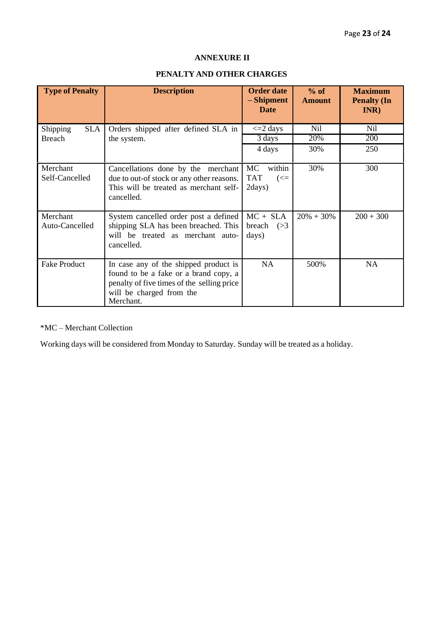## **ANNEXURE II**

# **PENALTY AND OTHER CHARGES**

| <b>Type of Penalty</b>                  | <b>Description</b>                                                                                                                                                    | <b>Order date</b><br>- Shipment<br><b>Date</b>               | $%$ of<br><b>Amount</b>  | <b>Maximum</b><br><b>Penalty (In</b><br>INR) |
|-----------------------------------------|-----------------------------------------------------------------------------------------------------------------------------------------------------------------------|--------------------------------------------------------------|--------------------------|----------------------------------------------|
| Shipping<br><b>SLA</b><br><b>Breach</b> | Orders shipped after defined SLA in<br>the system.                                                                                                                    | $\leq$ 2 days<br>3 days<br>4 days                            | <b>Nil</b><br>20%<br>30% | <b>Nil</b><br><b>200</b><br>250              |
| Merchant<br>Self-Cancelled              | Cancellations done by the merchant<br>due to out-of stock or any other reasons.<br>This will be treated as merchant self-<br>cancelled.                               | MC<br>within<br><b>TAT</b><br>$\left(\leq=\right)$<br>2days) | 30%                      | 300                                          |
| Merchant<br>Auto-Cancelled              | System cancelled order post a defined<br>shipping SLA has been breached. This<br>will be treated as merchant auto-<br>cancelled.                                      | $MC + SLA$<br>breach $(>3)$<br>days)                         | $20\% + 30\%$            | $200 + 300$                                  |
| <b>Fake Product</b>                     | In case any of the shipped product is<br>found to be a fake or a brand copy, a<br>penalty of five times of the selling price<br>will be charged from the<br>Merchant. | <b>NA</b>                                                    | 500%                     | <b>NA</b>                                    |

\*MC – Merchant Collection

Working days will be considered from Monday to Saturday. Sunday will be treated as a holiday.